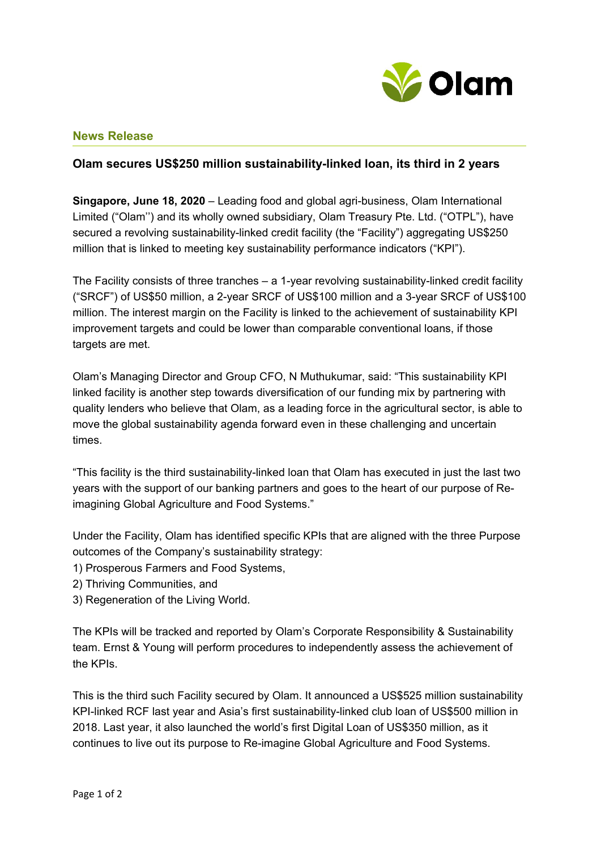

## **News Release**

## **Olam secures US\$250 million sustainability-linked loan, its third in 2 years**

**Singapore, June 18, 2020** – Leading food and global agri-business, Olam International Limited ("Olam'') and its wholly owned subsidiary, Olam Treasury Pte. Ltd. ("OTPL"), have secured a revolving sustainability-linked credit facility (the "Facility") aggregating US\$250 million that is linked to meeting key sustainability performance indicators ("KPI").

The Facility consists of three tranches – a 1-year revolving sustainability-linked credit facility ("SRCF") of US\$50 million, a 2-year SRCF of US\$100 million and a 3-year SRCF of US\$100 million. The interest margin on the Facility is linked to the achievement of sustainability KPI improvement targets and could be lower than comparable conventional loans, if those targets are met.

Olam's Managing Director and Group CFO, N Muthukumar, said: "This sustainability KPI linked facility is another step towards diversification of our funding mix by partnering with quality lenders who believe that Olam, as a leading force in the agricultural sector, is able to move the global sustainability agenda forward even in these challenging and uncertain times.

"This facility is the third sustainability-linked loan that Olam has executed in just the last two years with the support of our banking partners and goes to the heart of our purpose of Reimagining Global Agriculture and Food Systems."

Under the Facility, Olam has identified specific KPIs that are aligned with the three Purpose outcomes of the Company's sustainability strategy:

- 1) Prosperous Farmers and Food Systems,
- 2) Thriving Communities, and
- 3) Regeneration of the Living World.

The KPIs will be tracked and reported by Olam's Corporate Responsibility & Sustainability team. Ernst & Young will perform procedures to independently assess the achievement of the KPIs.

This is the third such Facility secured by Olam. It announced a US\$525 million sustainability KPI-linked RCF last year and Asia's first sustainability-linked club loan of US\$500 million in 2018. Last year, it also launched the world's first Digital Loan of US\$350 million, as it continues to live out its purpose to Re-imagine Global Agriculture and Food Systems.